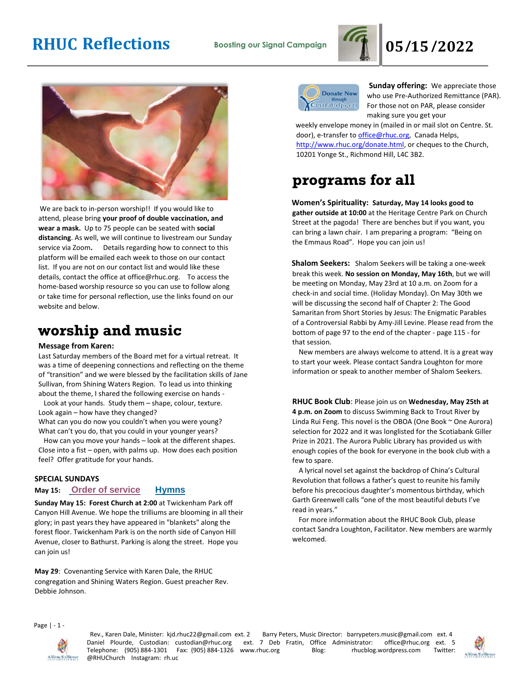



We are back to in-person worship!! If you would like to attend, please bring **your proof of double vaccination, and wear a mask.** Up to 75 people can be seated with **social distancing**. As well, we will continue to livestream our Sunday service via Zoom**.** Details regarding how to connect to this platform will be emailed each week to those on our contact list. If you are not on our contact list and would like these details, contact the office at office@rhuc.org. To access the home-based worship resource so you can use to follow along or take time for personal reflection, use the links found on our website and below.

### **worship and music**

#### **Message from Karen:**

Last Saturday members of the Board met for a virtual retreat. It was a time of deepening connections and reflecting on the theme of "transition" and we were blessed by the facilitation skills of Jane Sullivan, from Shining Waters Region. To lead us into thinking about the theme, I shared the following exercise on hands -

 Look at your hands. Study them – shape, colour, texture. Look again – how have they changed?

What can you do now you couldn't when you were young? What can't you do, that you could in your younger years?

 How can you move your hands – look at the different shapes. Close into a fist – open, with palms up. How does each position feel? Offer gratitude for your hands.

### **SPECIAL SUNDAYS**

### **May 15: [O](http://rhuc.org/May%2015%20OofS.pdf)rder of [service](http://rhuc.org/May%2015%20OofS.pdf) [Hymns](http://rhuc.org/Hymns%20for%202022%2005%2015.pdf)**

**Sunday May 15: Forest Church at 2:00** at Twickenham Park off Canyon Hill Avenue. We hope the trilliums are blooming in all their glory; in past years they have appeared in "blankets" along the forest floor. Twickenham Park is on the north side of Canyon Hill Avenue, closer to Bathurst. Parking is along the street. Hope you can join us!

**May 29**: Covenanting Service with Karen Dale, the RHUC congregation and Shining Waters Region. Guest preacher Rev. Debbie Johnson.



**Sunday offering:** We appreciate those who use Pre-Authorized Remittance (PAR). For those not on PAR, please consider making sure you get your

weekly envelope money in (mailed in or mail slot on Centre. St. door), e-transfer to office@rhuc.org, Canada Helps, [http://www.rhuc.org/donate.html,](http://www.rhuc.org/donate.html) or cheques to the Church, 10201 Yonge St., Richmond Hill, L4C 3B2.

## **programs for all**

**Women's Spirituality: Saturday, May 14 looks good to gather outside at 10:00** at the Heritage Centre Park on Church Street at the pagoda! There are benches but if you want, you can bring a lawn chair. I am preparing a program: "Being on the Emmaus Road". Hope you can join us!

**Shalom Seekers:** Shalom Seekers will be taking a one-week break this week. **No session on Monday, May 16th**, but we will be meeting on Monday, May 23rd at 10 a.m. on Zoom for a check-in and social time. (Holiday Monday). On May 30th we will be discussing the second half of Chapter 2: The Good Samaritan from Short Stories by Jesus: The Enigmatic Parables of a Controversial Rabbi by Amy-Jill Levine. Please read from the bottom of page 97 to the end of the chapter - page 115 - for that session.

 New members are always welcome to attend. It is a great way to start your week. Please contact Sandra Loughton for more information or speak to another member of Shalom Seekers.

### **RHUC Book Club**: Please join us on **Wednesday, May 25th at**

**4 p.m. on Zoom** to discuss Swimming Back to Trout River by Linda Rui Feng. This novel is the OBOA (One Book ~ One Aurora) selection for 2022 and it was longlisted for the Scotiabank Giller Prize in 2021. The Aurora Public Library has provided us with enough copies of the book for everyone in the book club with a few to spare.

 A lyrical novel set against the backdrop of China's Cultural Revolution that follows a father's quest to reunite his family before his precocious daughter's momentous birthday, which Garth Greenwell calls "one of the most beautiful debuts I've read in years."

 For more information about the RHUC Book Club, please contact Sandra Loughton, Facilitator. New members are warmly welcomed.

Page | - 1 -



Rev., Karen Dale, Minister: kjd.rhuc22@gmail.com ext. 2 Barry Peters, Music Director: barrypeters.music@gmail.com ext. 4 Daniel Plourde, Custodian: custodian@rhuc.org ext. 7 Deb Fratin, Office Administrator: office@rhuc.org ext. 5<br>Telephone: (905)884-1301 Fax: (905)884-1326 www.rhuc.org Blog: rhucblog.wordpress.com Twitter: Telephone: (905) 884-1301 Fax: (905) 884-1326 www.rhuc.org Blog: rhucblog.wordpress.com @RHUChurch Instagram: rh.uc

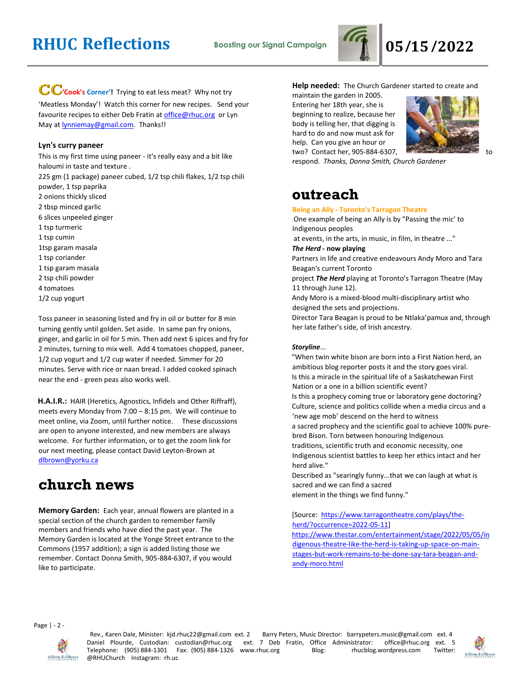

### CC'cook's Corner'! Trying to eat less meat? Why not try

'Meatless Monday'! Watch this corner for new recipes. Send your favourite recipes to either Deb Fratin at [office@rhuc.org](mailto:office@rhuc.org) or Lyn May at **lynniemay@gmail.com**. Thanks!!

### **Lyn's curry paneer**

This is my first time using paneer - it's really easy and a bit like haloumi in taste and texture . 225 gm (1 package) paneer cubed, 1/2 tsp chili flakes, 1/2 tsp chili powder, 1 tsp paprika 2 onions thickly sliced 2 tbsp minced garlic 6 slices unpeeled ginger 1 tsp turmeric 1 tsp cumin 1tsp garam masala 1 tsp coriander 1 tsp garam masala 2 tsp chili powder 4 tomatoes 1/2 cup yogurt

Toss paneer in seasoning listed and fry in oil or butter for 8 min turning gently until golden. Set aside. In same pan fry onions, ginger, and garlic in oil for 5 min. Then add next 6 spices and fry for 2 minutes, turning to mix well. Add 4 tomatoes chopped, paneer, 1/2 cup yogurt and 1/2 cup water if needed. Simmer for 20 minutes. Serve with rice or naan bread. I added cooked spinach near the end - green peas also works well.

**H.A.I.R.:** HAIR (Heretics, Agnostics, Infidels and Other Riffraff), meets every Monday from 7:00 – 8:15 pm. We will continue to meet online, via Zoom, until further notice.These discussions are open to anyone interested, and new members are always welcome. For further information, or to get the zoom link for our next meeting, please contact David Leyton-Brown at [dlbrown@yorku.ca](mailto:dlbrown@yorku.ca)

### **church news**

**Memory Garden:** Each year, annual flowers are planted in a special section of the church garden to remember family members and friends who have died the past year. The Memory Garden is located at the Yonge Street entrance to the Commons (1957 addition); a sign is added listing those we remember. Contact Donna Smith, 905-884-6307, if you would like to participate.

### **Help needed:** The Church Gardener started to create and

maintain the garden in 2005. Entering her 18th year, she is beginning to realize, because her body is telling her, that digging is hard to do and now must ask for help. Can you give an hour or two? Contact her, 905-884-6307, the search of the contract her, 905-884-6307,



respond. *Thanks, Donna Smith, Church Gardener*

### **outreach**

#### **Being an Ally - Toronto's Tarragon Theatre**

One example of being an Ally is by "Passing the mic' to Indigenous peoples

at events, in the arts, in music, in film, in theatre ..."

*The Herd* **- now playing**

Partners in life and creative endeavours Andy Moro and Tara Beagan's current Toronto

project *The Herd* playing at Toronto's Tarragon Theatre (May 11 through June 12).

Andy Moro is a mixed-blood multi-disciplinary artist who designed the sets and projections.

Director Tara Beagan is proud to be Ntlaka'pamux and, through her late father's side, of Irish ancestry.

### *Storyline*...

"When twin white bison are born into a First Nation herd, an ambitious blog reporter posts it and the story goes viral. Is this a miracle in the spiritual life of a Saskatchewan First Nation or a one in a billion scientific event?

Is this a prophecy coming true or laboratory gene doctoring? Culture, science and politics collide when a media circus and a 'new age mob' descend on the herd to witness

a sacred prophecy and the scientific goal to achieve 100% purebred Bison. Torn between honouring Indigenous

traditions, scientific truth and economic necessity, one Indigenous scientist battles to keep her ethics intact and her herd alive."

Described as "searingly funny...that we can laugh at what is sacred and we can find a sacred element in the things we find funny."

[Source: [https://www.tarragontheatre.com/plays/the](https://www.tarragontheatre.com/plays/the-herd/?occurrence=2022-05-11)[herd/?occurrence=2022-05-11\]](https://www.tarragontheatre.com/plays/the-herd/?occurrence=2022-05-11) [https://www.thestar.com/entertainment/stage/2022/05/05/in](https://www.thestar.com/entertainment/stage/2022/05/05/indigenous-theatre-like-the-herd-is-taking-up-space-on-main-stages-but-work-remains-to-be-done-say-tara-beagan-and-andy-moro.html) [digenous-theatre-like-the-herd-is-taking-up-space-on-main](https://www.thestar.com/entertainment/stage/2022/05/05/indigenous-theatre-like-the-herd-is-taking-up-space-on-main-stages-but-work-remains-to-be-done-say-tara-beagan-and-andy-moro.html)[stages-but-work-remains-to-be-done-say-tara-beagan-and](https://www.thestar.com/entertainment/stage/2022/05/05/indigenous-theatre-like-the-herd-is-taking-up-space-on-main-stages-but-work-remains-to-be-done-say-tara-beagan-and-andy-moro.html)[andy-moro.html](https://www.thestar.com/entertainment/stage/2022/05/05/indigenous-theatre-like-the-herd-is-taking-up-space-on-main-stages-but-work-remains-to-be-done-say-tara-beagan-and-andy-moro.html)

Page | - 2 -



Rev., Karen Dale, Minister: kjd.rhuc22@gmail.com ext. 2 Barry Peters, Music Director: barrypeters.music@gmail.com ext. 4 Daniel Plourde, Custodian: custodian@rhuc.org ext. 7 Deb Fratin, Office Administrator: office@rhuc.org ext. 5 Telephone: (905) 884-1301 Fax: (905) 884-1326 www.rhuc.org Blog: rhucblog.wordpress.com Twitter: @RHUChurch Instagram: rh.uc

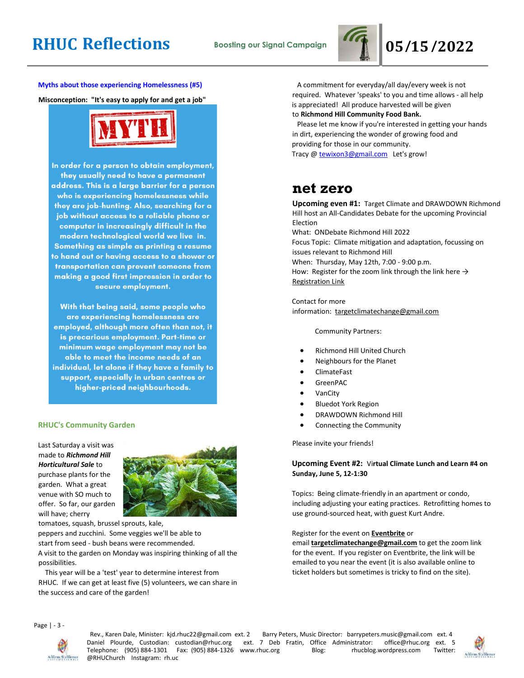

**Myths about those experiencing Homelessness (#5)**

**Misconception: "It's easy to apply for and get a job"**



In order for a person to obtain employment, they usually need to have a permanent address. This is a large barrier for a person who is experiencing homelessness while they are job-hunting. Also, searching for a job without access to a reliable phone or computer in increasingly difficult in the modern technological world we live in. Something as simple as printing a resume to hand out or having access to a shower or transportation can prevent someone from making a good first impression in order to secure employment.

With that being said, some people who are experiencing homelessness are employed, although more often than not, it is precarious employment. Part-time or minimum wage employment may not be able to meet the income needs of an individual, let alone if they have a family to support, especially in urban centres or higher-priced neighbourhoods.

#### **RHUC's Community Garden**

Last Saturday a visit was made to *Richmond Hill Horticultural Sale* to purchase plants for the garden. What a great venue with SO much to offer. So far, our garden will have; cherry



tomatoes, squash, brussel sprouts, kale,

peppers and zucchini. Some veggies we'll be able to start from seed - bush beans were recommended. A visit to the garden on Monday was inspiring thinking of all the possibilities.

 This year will be a 'test' year to determine interest from RHUC. If we can get at least five (5) volunteers, we can share in the success and care of the garden!

 A commitment for everyday/all day/every week is not required. Whatever 'speaks' to you and time allows - all help is appreciated! All produce harvested will be given to **Richmond Hill Community Food Bank.**

 Please let me know if you're interested in getting your hands in dirt, experiencing the wonder of growing food and providing for those in our community.

Tracy @ [tewixon3@gmail.com](mailto:tewixon3@gmail.com) Let's grow!

### **net zero**

**Upcoming even #1:** Target Climate and DRAWDOWN Richmond Hill host an All-Candidates Debate for the upcoming Provincial Election What: ONDebate Richmond Hill 2022 Focus Topic: Climate mitigation and adaptation, focussing on issues relevant to Richmond Hill

When: Thursday, May 12th, 7:00 - 9:00 p.m. How: Register for the zoom link through the link here  $\rightarrow$ [Registration Link](https://www.eventbrite.ca/e/richmond-hill-all-candidates-debate-registration-320638998877?aff=ebdssbonlinesearch)

Contact for more information: [targetclimatechange@gmail.com](mailto:targetclimatechange@gmail.com)

Community Partners:

- Richmond Hill United Church
- Neighbours for the Planet
- ClimateFast
- GreenPAC
- **VanCity**
- Bluedot York Region
- DRAWDOWN Richmond Hill
- Connecting the Community

Please invite your friends!

### **Upcoming Event #2:** Vi**rtual Climate Lunch and Learn #4 on Sunday, June 5, 12-1:30**

Topics: Being climate-friendly in an apartment or condo, including adjusting your eating practices. Retrofitting homes to use ground-sourced heat, with guest Kurt Andre.

Register for the event on **[Eventbrite](https://www.eventbrite.com/x/virtual-climate-lunch-and-learn-4-tickets-218772072157)** or

email **[targetclimatechange@gmail.com](mailto:targetclimatechange@gmail.com)** to get the zoom link for the event. If you register on Eventbrite, the link will be emailed to you near the event (it is also available online to ticket holders but sometimes is tricky to find on the site).

Page | - 3 -



Rev., Karen Dale, Minister: kjd.rhuc22@gmail.com ext. 2 Barry Peters, Music Director: barrypeters.music@gmail.com ext. 4 Daniel Plourde, Custodian: custodian@rhuc.org ext. 7 Deb Fratin, Office Administrator: office@rhuc.org ext. 5<br>Telephone: (905)884-1301 Fax: (905)884-1326 www.rhuc.org Blog: rhucblog.wordpress.com Twitter: Telephone: (905) 884-1301 Fax: (905) 884-1326 www.rhuc.org Blog: rhucblog.wordpress.com @RHUChurch Instagram: rh.uc